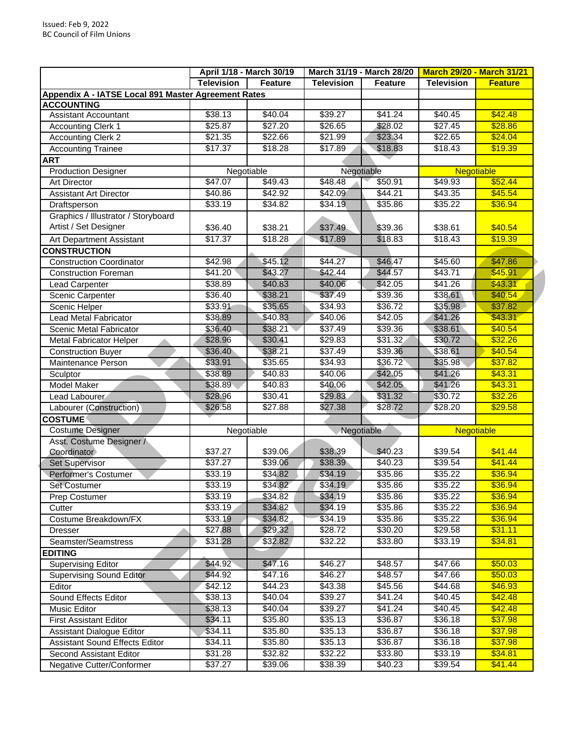|                                                     | April 1/18 - March 30/19 |                     |                     | March 31/19 - March 28/20 |                   | <b>March 29/20 - March 31/21</b> |
|-----------------------------------------------------|--------------------------|---------------------|---------------------|---------------------------|-------------------|----------------------------------|
|                                                     | <b>Television</b>        | Feature             | <b>Television</b>   | Feature                   | <b>Television</b> | <b>Feature</b>                   |
| Appendix A - IATSE Local 891 Master Agreement Rates |                          |                     |                     |                           |                   |                                  |
| <b>ACCOUNTING</b>                                   |                          |                     |                     |                           |                   |                                  |
| <b>Assistant Accountant</b>                         | \$38.13                  | \$40.04             | \$39.27             | \$41.24                   | \$40.45           | \$42.48                          |
| Accounting Clerk 1                                  | \$25.87                  | \$27.20             | \$26.65             | \$28.02                   | \$27.45           | \$28.86                          |
| <b>Accounting Clerk 2</b>                           | \$21.35                  | \$22.66             | \$21.99             | \$23.34                   | \$22.65           | \$24.04                          |
| <b>Accounting Trainee</b>                           | \$17.37                  | \$18.28             | \$17.89             | \$18.83                   | \$18.43           | \$19.39                          |
| <b>ART</b>                                          |                          |                     |                     |                           |                   |                                  |
| <b>Production Designer</b>                          |                          | Negotiable          |                     | Negotiable                |                   | <b>Negotiable</b>                |
| <b>Art Director</b>                                 | \$47.07                  | \$49.43             | \$48.48             | \$50.91                   | \$49.93           | \$52.44                          |
| <b>Assistant Art Director</b>                       | \$40.86                  | \$42.92             | \$42.09             | \$44.21                   | \$43.35           | \$45.54                          |
| Draftsperson                                        | \$33.19                  | \$34.82             | \$34.19             | \$35.86                   | \$35.22           | \$36.94                          |
| Graphics / Illustrator / Storyboard                 |                          |                     |                     |                           |                   |                                  |
| Artist / Set Designer                               | \$36.40                  | \$38.21             | \$37.49             | \$39.36                   | \$38.61           | \$40.54                          |
| Art Department Assistant                            | \$17.37                  | \$18.28             | \$17.89             | \$18.83                   | \$18.43           | \$19.39                          |
| <b>CONSTRUCTION</b>                                 |                          |                     |                     |                           |                   |                                  |
| <b>Construction Coordinator</b>                     | \$42.98                  | \$45.12             | \$44.27             | \$46.47                   | \$45.60           | \$47.86                          |
| <b>Construction Foreman</b>                         | \$41.20                  | \$43.27             | \$42.44             | \$44.57                   | \$43.71           | \$45.91                          |
| <b>Lead Carpenter</b>                               | \$38.89                  | \$40.83             | \$40.06             | \$42.05                   | \$41.26           | \$43.31                          |
| Scenic Carpenter                                    | \$36.40                  | \$38.21             | \$37.49             | \$39.36                   | \$38.61           | \$40.54                          |
| Scenic Helper                                       | \$33.91                  | \$35.65             | \$34.93             | \$36.72                   | \$35.98           | \$37.82                          |
| <b>Lead Metal Fabricator</b>                        | \$38.89                  | \$40.83             | \$40.06             | \$42.05                   | \$41.26           | \$43.31                          |
|                                                     | \$36.40                  | \$38.21             | \$37.49             | \$39.36                   | \$38.61           | \$40.54                          |
| Scenic Metal Fabricator                             |                          |                     | $\overline{$}29.83$ |                           |                   | \$32.26                          |
| <b>Metal Fabricator Helper</b>                      | \$28.96                  | \$30.41             |                     | \$31.32                   | \$30.72           |                                  |
| <b>Construction Buyer</b>                           | \$36.40                  | \$38.21             | \$37.49             | \$39.36                   | \$38.61           | \$40.54                          |
| Maintenance Person                                  | \$33.91                  | \$35.65             | \$34.93             | \$36.72                   | \$35.98           | \$37.82                          |
| Sculptor                                            | \$38.89                  | \$40.83             | \$40.06             | \$42.05                   | \$41.26           | \$43.31                          |
| Model Maker                                         | \$38.89                  | \$40.83             | \$40.06             | \$42.05                   | \$41.26           | \$43.31                          |
| Lead Labourer                                       | \$28.96                  | \$30.41             | \$29.83             | \$31.32                   | \$30.72           | \$32.26                          |
| Labourer (Construction)                             | \$26.58                  | \$27.88             | \$27.38             | \$28.72                   | \$28.20           | \$29.58                          |
| <b>COSTUME</b>                                      |                          |                     |                     |                           |                   |                                  |
| <b>Costume Designer</b>                             |                          | Negotiable          | Negotiable          |                           | <b>Negotiable</b> |                                  |
| Asst. Costume Designer /                            |                          |                     |                     |                           |                   |                                  |
| Coordinator                                         | \$37.27                  | \$39.06             | \$38.39             | \$40.23                   | \$39.54           | \$41.44                          |
| Set Supervisor                                      | \$37.27                  | \$39.06             | \$38.39             | $\sqrt{3}40.23$           | \$39.54           | \$41.44                          |
| Performer's Costumer                                | \$33.19                  | \$34.82             | \$34.19             | \$35.86                   | \$35.22           | \$36.94                          |
| Set Costumer                                        | \$33.19                  | \$34.82             | \$34.19             | \$35.86                   | \$35.22           | \$36.94                          |
| Prep Costumer                                       | \$33.19                  | $\overline{$}34.82$ | \$34.19             | \$35.86                   | \$35.22           | \$36.94                          |
| Cutter                                              | \$33.19                  | \$34.82             | \$34.19             | \$35.86                   | \$35.22           | \$36.94                          |
| Costume Breakdown/FX                                | \$33.19                  | \$34.82             | \$34.19             | \$35.86                   | \$35.22           | \$36.94                          |
| <b>Dresser</b>                                      | \$27.88                  | \$29.32             | \$28.72             | \$30.20                   | \$29.58           | \$31.11                          |
| Seamster/Seamstress                                 | \$31.28                  | \$32.82             | \$32.22             | \$33.80                   | \$33.19           | \$34.81                          |
| <b>EDITING</b>                                      |                          |                     |                     |                           |                   |                                  |
| <b>Supervising Editor</b>                           | \$44.92                  | \$47.16             | \$46.27             | \$48.57                   | \$47.66           | \$50.03                          |
| <b>Supervising Sound Editor</b>                     | \$44.92                  | \$47.16             | \$46.27             | \$48.57                   | \$47.66           | \$50.03                          |
| Editor                                              | \$42.12                  | \$44.23             | \$43.38             | \$45.56                   | \$44.68           | \$46.93                          |
| Sound Effects Editor                                | $\sqrt{$38.13}$          | \$40.04             | \$39.27             | \$41.24                   | \$40.45           | \$42.48                          |
| Music Editor                                        | \$38.13                  | \$40.04             | \$39.27             | \$41.24                   | \$40.45           | \$42.48                          |
| <b>First Assistant Editor</b>                       | \$34.11                  | \$35.80             | \$35.13             | \$36.87                   | \$36.18           | \$37.98                          |
| <b>Assistant Dialogue Editor</b>                    | \$34.11                  | \$35.80             | \$35.13             | \$36.87                   | \$36.18           | \$37.98                          |
| <b>Assistant Sound Effects Editor</b>               | \$34.11                  | \$35.80             | \$35.13             | \$36.87                   | \$36.18           | \$37.98                          |
| Second Assistant Editor                             | \$31.28                  | \$32.82             | \$32.22             | \$33.80                   | \$33.19           | \$34.81                          |
| Negative Cutter/Conformer                           | \$37.27                  | \$39.06             | \$38.39             | \$40.23                   | \$39.54           | \$41.44                          |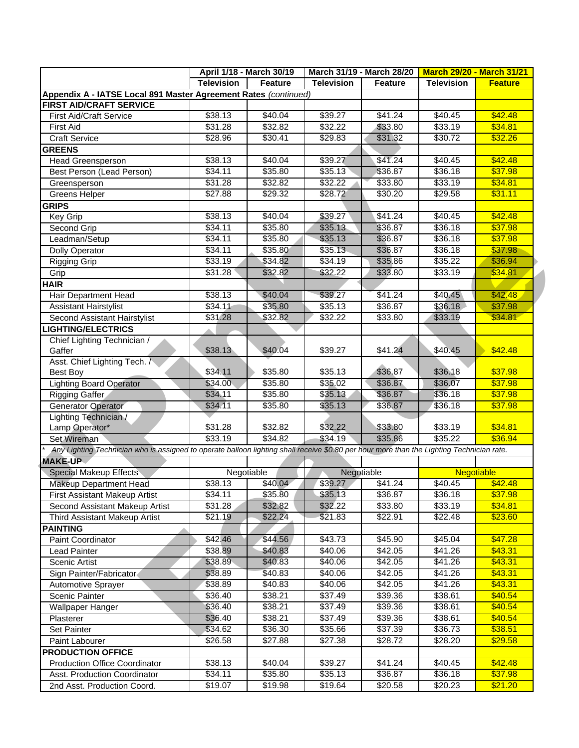|                                                                                                                                           | April 1/18 - March 30/19 |                | March 31/19 - March 28/20 |                     | <b>March 29/20 - March 31/21</b> |                   |
|-------------------------------------------------------------------------------------------------------------------------------------------|--------------------------|----------------|---------------------------|---------------------|----------------------------------|-------------------|
|                                                                                                                                           | <b>Television</b>        | <b>Feature</b> | <b>Television</b>         | <b>Feature</b>      | <b>Television</b>                | <b>Feature</b>    |
| Appendix A - IATSE Local 891 Master Agreement Rates (continued)                                                                           |                          |                |                           |                     |                                  |                   |
| <b>FIRST AID/CRAFT SERVICE</b>                                                                                                            |                          |                |                           |                     |                                  |                   |
| <b>First Aid/Craft Service</b>                                                                                                            | \$38.13                  | \$40.04        | \$39.27                   | \$41.24             | \$40.45                          | \$42.48           |
| <b>First Aid</b>                                                                                                                          | \$31.28                  | \$32.82        | \$32.22                   | \$33.80             | \$33.19                          | \$34.81           |
| <b>Craft Service</b>                                                                                                                      | \$28.96                  | \$30.41        | \$29.83                   | \$31.32             | \$30.72                          | \$32.26           |
| <b>GREENS</b>                                                                                                                             |                          |                |                           |                     |                                  |                   |
| Head Greensperson                                                                                                                         | \$38.13                  | \$40.04        | \$39.27                   | \$41.24             | \$40.45                          | \$42.48           |
| Best Person (Lead Person)                                                                                                                 | \$34.11                  | \$35.80        | \$35.13                   | \$36.87             | \$36.18                          | \$37.98           |
| Greensperson                                                                                                                              | \$31.28                  | \$32.82        | \$32.22                   | \$33.80             | \$33.19                          | \$34.81           |
| <b>Greens Helper</b>                                                                                                                      | \$27.88                  | \$29.32        | \$28.72                   | \$30.20             | \$29.58                          | \$31.11           |
| <b>GRIPS</b>                                                                                                                              |                          |                |                           |                     |                                  |                   |
| Key Grip                                                                                                                                  | \$38.13                  | \$40.04        | \$39.27                   | \$41.24             | \$40.45                          | \$42.48           |
| Second Grip                                                                                                                               | \$34.11                  | \$35.80        | \$35.13                   | \$36.87             | \$36.18                          | \$37.98           |
| Leadman/Setup                                                                                                                             | \$34.11                  | \$35.80        | \$35.13                   | \$36.87             | \$36.18                          | \$37.98           |
| <b>Dolly Operator</b>                                                                                                                     | \$34.11                  | \$35.80        | \$35.13                   | \$36.87             | \$36.18                          | \$37.98           |
| <b>Rigging Grip</b>                                                                                                                       | \$33.19                  | \$34.82        | \$34.19                   | \$35.86             | \$35.22                          | \$36.94           |
| Grip                                                                                                                                      | \$31.28                  | \$32.82        | \$32.22                   | \$33.80             | \$33.19                          | \$34.81           |
| HAIR                                                                                                                                      |                          |                |                           |                     |                                  |                   |
| Hair Department Head                                                                                                                      | \$38.13                  | \$40.04        | \$39.27                   | \$41.24             | \$40.45                          | \$42.48           |
| <b>Assistant Hairstylist</b>                                                                                                              | \$34.11                  | \$35.80        | 35.13                     | \$36.87             | \$36.18                          | \$37.98           |
| Second Assistant Hairstylist                                                                                                              | \$31.28                  | \$32.82        | \$32.22                   | $\overline{$}33.80$ | \$33.19                          | \$34.81           |
| <b>IGHTING/ELECTRICS</b>                                                                                                                  |                          |                |                           |                     |                                  |                   |
| Chief Lighting Technician /                                                                                                               |                          |                |                           |                     |                                  |                   |
| Gaffer                                                                                                                                    | \$38.13                  | \$40.04        | \$39.27                   | \$41.24             | \$40.45                          | \$42.48           |
| Asst. Chief Lighting Tech. /                                                                                                              |                          |                |                           |                     |                                  |                   |
| Best Boy                                                                                                                                  | \$34.11                  | \$35.80        | \$35.13                   | \$36.87             | \$36.18                          | \$37.98           |
| <b>Lighting Board Operator</b>                                                                                                            | \$34.00                  | \$35.80        | \$35.02                   | \$36.87             | \$36.07                          | \$37.98           |
| Rigging Gaffer                                                                                                                            | \$34.11                  | \$35.80        | \$35.13                   | \$36.87             | \$36.18                          | \$37.98           |
| Generator Operator                                                                                                                        | \$34.11                  | \$35.80        | \$35.13                   | \$36.87             | \$36.18                          | \$37.98           |
| Lighting Technician /                                                                                                                     |                          |                |                           |                     |                                  |                   |
| Lamp Operator*                                                                                                                            | \$31.28                  | \$32.82        | \$32.22                   | \$33.80             | \$33.19                          | \$34.81           |
| Set Wireman                                                                                                                               | \$33.19                  | \$34.82        | \$34.19                   | \$35.86             | \$35.22                          | \$36.94           |
| Any Lighting Technician who is assigned to operate balloon lighting shall receive \$0.80 per hour more than the Lighting Technician rate. |                          |                |                           |                     |                                  |                   |
| <b>MAKE-UP</b>                                                                                                                            |                          |                |                           |                     |                                  |                   |
| <b>Special Makeup Effects</b>                                                                                                             |                          | Negotiable     |                           | Negotiable          |                                  | <b>Negotiable</b> |
| Makeup Department Head                                                                                                                    | \$38.13                  | \$40.04        | \$39.27                   | \$41.24             | \$40.45                          | \$42.48           |
| <b>First Assistant Makeup Artist</b>                                                                                                      | \$34.11                  | \$35.80        | \$35.13                   | \$36.87             | \$36.18                          | \$37.98           |
| Second Assistant Makeup Artist                                                                                                            | \$31.28                  | \$32.82        | \$32.22                   | \$33.80             | \$33.19                          | \$34.81           |
| Third Assistant Makeup Artist                                                                                                             | \$21.19                  | \$22.24        | \$21.83                   | \$22.91             | \$22.48                          | \$23.60           |
| <b>PAINTING</b>                                                                                                                           |                          |                |                           |                     |                                  |                   |
| Paint Coordinator                                                                                                                         | \$42.46                  | \$44.56        | \$43.73                   | \$45.90             | \$45.04                          | \$47.28           |
| <b>Lead Painter</b>                                                                                                                       | \$38.89                  | \$40.83        | \$40.06                   | \$42.05             | \$41.26                          | \$43.31           |
|                                                                                                                                           |                          | \$40.83        | \$40.06                   |                     | \$41.26                          |                   |
| Scenic Artist                                                                                                                             | \$38.89                  |                |                           | \$42.05             |                                  | \$43.31           |
| Sign Painter/Fabricator                                                                                                                   | \$38.89                  | \$40.83        | \$40.06                   | \$42.05<br>\$42.05  | $\sqrt{341.26}$                  | \$43.31           |
| Automotive Sprayer                                                                                                                        | \$38.89                  | \$40.83        | \$40.06                   |                     | \$41.26                          | \$43.31           |
| Scenic Painter                                                                                                                            | \$36.40                  | \$38.21        | \$37.49                   | \$39.36             | \$38.61                          | \$40.54           |
| Wallpaper Hanger                                                                                                                          | \$36.40                  | \$38.21        | \$37.49                   | \$39.36             | \$38.61                          | \$40.54           |
| Plasterer                                                                                                                                 | \$36.40                  | \$38.21        | \$37.49                   | \$39.36             | \$38.61                          | \$40.54           |
| <b>Set Painter</b>                                                                                                                        | \$34.62                  | \$36.30        | \$35.66                   | \$37.39             | \$36.73                          | \$38.51           |
| Paint Labourer                                                                                                                            | \$26.58                  | \$27.88        | \$27.38                   | \$28.72             | \$28.20                          | \$29.58           |
| <b>PRODUCTION OFFICE</b>                                                                                                                  |                          |                |                           |                     |                                  |                   |
| <b>Production Office Coordinator</b>                                                                                                      | \$38.13                  | \$40.04        | \$39.27                   | \$41.24             | \$40.45                          | \$42.48           |
| Asst. Production Coordinator                                                                                                              | \$34.11                  | \$35.80        | \$35.13                   | \$36.87             | \$36.18                          | \$37.98           |
| 2nd Asst. Production Coord.                                                                                                               | \$19.07                  | \$19.98        | \$19.64                   | \$20.58             | \$20.23                          | \$21.20           |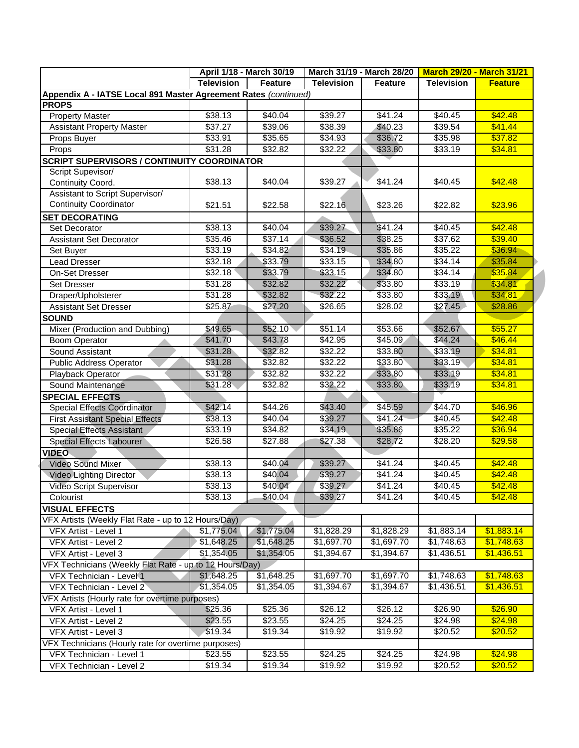|                                                                 | April 1/18 - March 30/19 |                     |                   | March 31/19 - March 28/20 |                   | <b>March 29/20 - March 31/21</b> |
|-----------------------------------------------------------------|--------------------------|---------------------|-------------------|---------------------------|-------------------|----------------------------------|
|                                                                 | <b>Television</b>        | <b>Feature</b>      | <b>Television</b> | <b>Feature</b>            | <b>Television</b> | <b>Feature</b>                   |
| Appendix A - IATSE Local 891 Master Agreement Rates (continued) |                          |                     |                   |                           |                   |                                  |
| <b>PROPS</b>                                                    |                          |                     |                   |                           |                   |                                  |
| <b>Property Master</b>                                          | \$38.13                  | \$40.04             | \$39.27           | \$41.24                   | \$40.45           | \$42.48                          |
| <b>Assistant Property Master</b>                                | \$37.27                  | \$39.06             | \$38.39           | \$40.23                   | \$39.54           | \$41.44                          |
| Props Buyer                                                     | \$33.91                  | \$35.65             | \$34.93           | \$36.72                   | \$35.98           | \$37.82                          |
| Props                                                           | \$31.28                  | \$32.82             | \$32.22           | \$33.80                   | \$33.19           | \$34.81                          |
| <b>SCRIPT SUPERVISORS / CONTINUITY COORDINATOR</b>              |                          |                     |                   |                           |                   |                                  |
| Script Supevisor/                                               |                          |                     |                   |                           |                   |                                  |
| Continuity Coord.                                               | \$38.13                  | \$40.04             | \$39.27           | \$41.24                   | \$40.45           | \$42.48                          |
| Assistant to Script Supervisor/                                 |                          |                     |                   |                           |                   |                                  |
| <b>Continuity Coordinator</b>                                   | \$21.51                  | \$22.58             | \$22.16           | \$23.26                   | \$22.82           | \$23.96                          |
| <b>SET DECORATING</b>                                           |                          |                     |                   |                           |                   |                                  |
| Set Decorator                                                   | \$38.13                  | \$40.04             | \$39.27           | \$41.24                   | \$40.45           | \$42.48                          |
| <b>Assistant Set Decorator</b>                                  | \$35.46                  | \$37.14             | \$36.52           | \$38.25                   | \$37.62           | \$39.40                          |
| Set Buyer                                                       | \$33.19                  | \$34.82             | \$34.19           | \$35.86                   | \$35.22           | \$36.94                          |
| <b>Lead Dresser</b>                                             | \$32.18                  | \$33.79             | \$33.15           | \$34.80                   | \$34.14           | \$35.84                          |
| On-Set Dresser                                                  | \$32.18                  | \$33.79             | \$33.15           | \$34.80                   | \$34.14           | \$35.84                          |
| <b>Set Dresser</b>                                              | \$31.28                  | \$32.82             | \$32.22           | \$33.80                   | \$33.19           | \$34.81                          |
| Draper/Upholsterer                                              | \$31.28                  | \$32.82             | \$32.22           | \$33.80                   | \$33.19           | \$34.81                          |
| <b>Assistant Set Dresser</b>                                    | \$25.87                  | \$27.20             | \$26.65           | \$28.02                   | \$27.45           | \$28.86                          |
| <b>SOUND</b>                                                    |                          |                     |                   |                           |                   |                                  |
| Mixer (Production and Dubbing)                                  | \$49.65                  | \$52.10             | \$51.14           | \$53.66                   | \$52.67           | \$55.27                          |
| <b>Boom Operator</b>                                            | \$41.70                  | \$43.78             | \$42.95           | \$45.09                   | \$44.24           | \$46.44                          |
| Sound Assistant                                                 | \$31.28                  | \$32.82             | \$32.22           | \$33.80                   | \$33.19           | \$34.81                          |
| <b>Public Address Operator</b>                                  | \$31.28                  | \$32.82             | \$32.22           | \$33.80                   | \$33.19           | \$34.81                          |
| Playback Operator                                               | \$31.28                  | \$32.82             | $\sqrt{$32.22}$   | \$33.80                   | \$33.19           | \$34.81                          |
| Sound Maintenance                                               | \$31.28                  | \$32.82             | \$32.22           | \$33.80                   | \$33.19           | \$34.81                          |
| <b>SPECIAL EFFECTS</b>                                          |                          |                     |                   |                           |                   |                                  |
| <b>Special Effects Coordinator</b>                              | \$42.14                  | \$44.26             | \$43.40           | \$45.59                   | \$44.70           | \$46.96                          |
| <b>First Assistant Special Effects</b>                          | \$38.13                  | \$40.04             | \$39.27           | \$41.24                   | \$40.45           | \$42.48                          |
| <b>Special Effects Assistant</b>                                | \$33.19                  | \$34.82             | \$34.19           | \$35.86                   | \$35.22           | \$36.94                          |
| Special Effects Labourer                                        | \$26.58                  | \$27.88             | \$27.38           | \$28.72                   | \$28.20           | \$29.58                          |
| <b>VIDEO</b>                                                    |                          |                     |                   |                           |                   |                                  |
| <b>Video Sound Mixer</b>                                        | \$38.13                  | \$40.04             | \$39.27           | \$41.24                   | \$40.45           | \$42.48                          |
| Video Lighting Director                                         | \$38.13                  | $\overline{$40.04}$ | \$39.27           | \$41.24                   | \$40.45           | \$42.48                          |
| <b>Video Script Supervisor</b>                                  | \$38.13                  | \$40.04             | \$39.27           | \$41.24                   | \$40.45           | \$42.48                          |
| Colourist                                                       | \$38.13                  | \$40.04             | \$39.27           | \$41.24                   | \$40.45           | \$42.48                          |
| <b>VISUAL EFFECTS</b>                                           |                          |                     |                   |                           |                   |                                  |
| VFX Artists (Weekly Flat Rate - up to 12 Hours/Day)             |                          |                     |                   |                           |                   |                                  |
| VFX Artist - Level 1                                            | \$1,775.04               | \$1,775.04          | \$1,828.29        | \$1,828.29                | \$1,883.14        | \$1,883.14                       |
| VFX Artist - Level 2                                            | \$1,648.25               | \$1,648.25          | \$1,697.70        | \$1,697.70                | \$1,748.63        | \$1,748.63                       |
| VFX Artist - Level 3                                            | \$1,354.05               | \$1,354.05          | \$1,394.67        | \$1,394.67                | \$1,436.51        | \$1,436.51                       |
| VFX Technicians (Weekly Flat Rate - up to 12 Hours/Day)         |                          |                     |                   |                           |                   |                                  |
| VFX Technician - Level 1                                        | \$1,648.25               | \$1,648.25          | \$1,697.70        | \$1,697.70                | \$1,748.63        | \$1,748.63                       |
| VFX Technician - Level 2                                        | \$1,354.05               | \$1,354.05          | \$1,394.67        | \$1,394.67                | \$1,436.51        | \$1,436.51                       |
| VFX Artists (Hourly rate for overtime purposes)                 |                          |                     |                   |                           |                   |                                  |
| VFX Artist - Level 1                                            | \$25.36                  | \$25.36             | \$26.12           | \$26.12                   | \$26.90           | \$26.90                          |
| VFX Artist - Level 2                                            | \$23.55                  | \$23.55             | \$24.25           | \$24.25                   | \$24.98           | \$24.98                          |
| VFX Artist - Level 3                                            | \$19.34                  | \$19.34             | \$19.92           | \$19.92                   | \$20.52           | \$20.52                          |
| VFX Technicians (Hourly rate for overtime purposes)             |                          |                     |                   |                           |                   |                                  |
| VFX Technician - Level 1                                        | \$23.55                  | \$23.55             | \$24.25           | \$24.25                   | \$24.98           | \$24.98                          |
| VFX Technician - Level 2                                        | \$19.34                  | \$19.34             | \$19.92           | \$19.92                   | \$20.52           | \$20.52                          |
|                                                                 |                          |                     |                   |                           |                   |                                  |